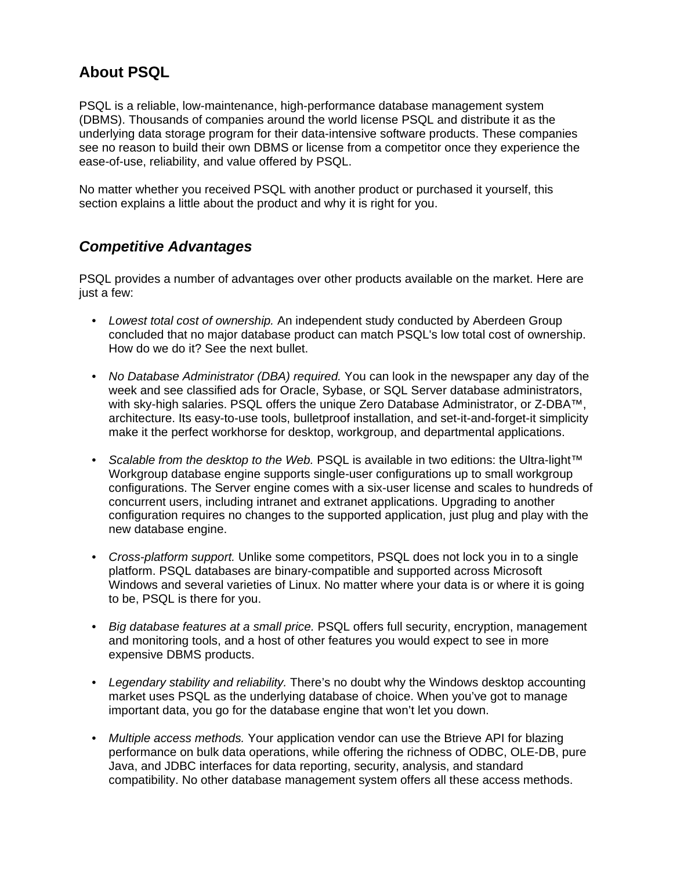## **About PSQL**

PSQL is a reliable, low-maintenance, high-performance database management system (DBMS). Thousands of companies around the world license PSQL and distribute it as the underlying data storage program for their data-intensive software products. These companies see no reason to build their own DBMS or license from a competitor once they experience the ease-of-use, reliability, and value offered by PSQL.

No matter whether you received PSQL with another product or purchased it yourself, this section explains a little about the product and why it is right for you.

## *Competitive Advantages*

PSQL provides a number of advantages over other products available on the market. Here are just a few:

- *Lowest total cost of ownership.* An independent study conducted by Aberdeen Group concluded that no major database product can match PSQL's low total cost of ownership. How do we do it? See the next bullet.
- *No Database Administrator (DBA) required.* You can look in the newspaper any day of the week and see classified ads for Oracle, Sybase, or SQL Server database administrators, with sky-high salaries. PSQL offers the unique Zero Database Administrator, or Z-DBA™, architecture. Its easy-to-use tools, bulletproof installation, and set-it-and-forget-it simplicity make it the perfect workhorse for desktop, workgroup, and departmental applications.
- *Scalable from the desktop to the Web.* PSQL is available in two editions: the Ultra-light™ Workgroup database engine supports single-user configurations up to small workgroup configurations. The Server engine comes with a six-user license and scales to hundreds of concurrent users, including intranet and extranet applications. Upgrading to another configuration requires no changes to the supported application, just plug and play with the new database engine.
- *Cross-platform support.* Unlike some competitors, PSQL does not lock you in to a single platform. PSQL databases are binary-compatible and supported across Microsoft Windows and several varieties of Linux. No matter where your data is or where it is going to be, PSQL is there for you.
- *Big database features at a small price.* PSQL offers full security, encryption, management and monitoring tools, and a host of other features you would expect to see in more expensive DBMS products.
- *Legendary stability and reliability.* There's no doubt why the Windows desktop accounting market uses PSQL as the underlying database of choice. When you've got to manage important data, you go for the database engine that won't let you down.
- *Multiple access methods.* Your application vendor can use the Btrieve API for blazing performance on bulk data operations, while offering the richness of ODBC, OLE-DB, pure Java, and JDBC interfaces for data reporting, security, analysis, and standard compatibility. No other database management system offers all these access methods.